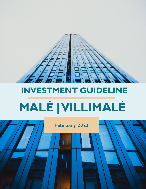

# **INVESTMENT GUIDELINE MALÉ | VILLIMALÉ**

**February 2022**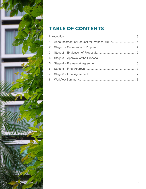

### **TABLE OF CONTENTS**

|  | 1. Announcement of Request for Proposal (RFP) 4 |  |
|--|-------------------------------------------------|--|
|  |                                                 |  |
|  |                                                 |  |
|  |                                                 |  |
|  |                                                 |  |
|  |                                                 |  |
|  |                                                 |  |
|  |                                                 |  |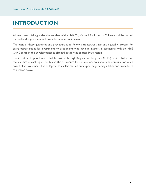# <span id="page-2-0"></span>**INTRODUCTION**

All investments falling under the mandate of the Malé City Council for Malé and Villimalé shall be carried out under the guidelines and procedures as set out below.

The basis of these guidelines and procedure is to follow a transparent, fair and equitable process for giving opportunities for investments to proponents who have an interest in partnering with the Malé City Council in the developments as planned out for the greater Malé region.

The investment opportunities shall be invited through Request for Proposals (RFP's), which shall define the specifics of each opportunity and the procedure for submission, evaluation and confirmation of an award of an investment. The RFP process shall be carried out as per the general guideline and procedures as detailed below.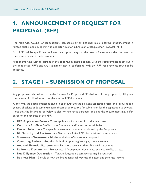# <span id="page-3-0"></span>**1. ANNOUNCEMENT OF REQUEST FOR PROPOSAL (RFP)**

The Malé City Council or its subsidiary companies or entities shall make a formal announcement in related public medium opening up opportunities for submission of Request for Proposal (RFP).

Each RFP shall be specific to the investment opportunity and the terms of investment shall be based on the requirements of the investment.

Proponents who wish to partake in the opportunity should comply with the requirements as set out in the announced RFP's and any submission not in conformity with the RFP requirements may not be accepted.

# <span id="page-3-1"></span>**2. STAGE 1 – SUBMISSION OF PROPOSAL**

Any proponent who takes part in the Request for Proposal (RFP) shall submit the proposal by filling out the relevant Application form as given in the RFP document.

Along with the requirements as given in each RFP and the relevant application form, the following is a general checklist of documents/details that may be required for submission for the application to be valid. Note that the list proposed below is also for reference purposes only and the requirement may differ based on the specifics of the RFP.

- **RFP Application Form –** Cover application form specific to the Investment
- **Company Profile**  Profile of the Proponent and/or related subsidiaries
- **Project Selection –** The specific investment opportunity selected by the Proponent
- **Bid Security and Performance Security**  Refer RFPs for individual requirements
- **Summary of Investment Model** Method of investment proposed
- **Operating Business Model** Method of operating/managing the investment
- **Audited Financial Statements**  The most recent Audited Financial statements
- **Reference Documents** Project award / completion documents, project profiles … etc.
- **Due Diligence Declaration**  Tax and Litigation clearances as may be required
- **Business Plan**  Details of how the Proponent shall operate the asset and generate income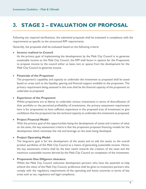# <span id="page-4-0"></span>**3. STAGE 2 – EVALUATION OF PROPOSAL**

Following any required clarifications, the submitted proposals shall be evaluated in compliance with the requirements as specific to the announced RPF requirements.

Generally, the proposals shall be evaluated based on the following criteria:

#### • **Income realized to Council**

As the primary goal of implementing the developments by the Malé City Council is to generate sustainable income to the Malé City Council, the RFP shall factor in options for the Proponents to propose income to the council either as lease rent or spaces from the development for the Malé City Council to generate income.

#### • **Financials of the Proponent**

The proponent's capability and capacity to undertake the investment as proposed shall be assed based on areas such as the liquidity, gearing and financial support available to the proponent. The primary requirement being assessed in this area shall be the financial capacity of the proponent to undertake as proposed.

#### • **Experience of the Proponent**

Whilst proponents are at liberty to undertake various investments in terms of diversification of their portfolio or the perceived profitability of investments, the primary assessment requirement here is for proponents to have sufficient experience in the proposed area of investment to give confidence that the proponent has the technical capacity to undertake the investment as proposed.

#### • **Project Financial Model**

With the primary goal of the opportunities being the development of assets and creation of value on the asset, the key assessment criteria is that the proponent proposes financing models for the development which minimizes the risk and leverage on the asset being developed.

#### • **Project Operating Model**

The long-term goal is for the development of the assets and to add the assets to the overall product portfolios of the Malé City Council as a means of generating sustainable income. Hence, the key assessment criteria shall be the best match towards the creation of the asset and the maximum sustainable income derived by the Malé City Council on completion of the investment.

#### • **Proponents Due Diligence clearance**

Whilst the Malé City Council welcomes development partners who have the potential to help achieve the vision of the Malé City Council, preference shall be given to investment partners who comply with the regulatory requirements of the operating and home countries in terms of key areas such as tax, regulatory and legal compliance.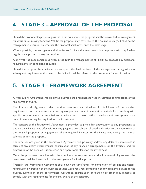# <span id="page-5-0"></span>**4. STAGE 3 – APPROVAL OF THE PROPOSAL**

Should the proponent's proposal pass the initial evaluation, the proposal shall be forwarded to management for decision on moving forward. Whilst the proposal may have passed the evaluation stage, it shall be the management's decision, on whether the proposal shall move onto the next stage.

Where possible, the management shall strive to facilitate the investments in compliance with any further regulatory approvals as may be required.

Along with the requirements as given in the RFP, the management is at liberty to propose any additional requirements or conditions of award.

Should the proposal be confirmed as accepted, the final decision of the management, along with any subsequent requirements that need to be fulfilled, shall be offered to the proponent for confirmation.

# <span id="page-5-1"></span>**5. STAGE 4 – FRAMEWORK AGREEMENT**

A Framework Agreement shall be signed between the proponent for the investment on finalization of the final terms of award.

The Framework Agreement shall provide provisions and timelines for fulfillment of the detailed requirements for the investments covering any payment commitments, time periods for complying with specific requirements or submissions, confirmation of any further development arrangements or commitments as may be required for the investment.

The concept of the Framework Agreement is provided to give a fair opportunity to any proponent to outline their investment offer without engaging into any substantial overheads prior to the submission of the detailed proposals or engagement of the required finances for the investment during the time of submission for the proposal.

The time periods given in the Framework Agreement will primarily address any detailed submissions in terms of any design requirements, confirmation of any financing arrangements for the Projects and for submission of the detailed Business Plan and operational plans for the investment.

Once the proponent complies with the conditions as required under the Framework Agreement, the investment shall be forwarded to the management for final approval.

Typically, the Framework Agreement shall cover the timeframes for completion of designs and details, registration or creation of the business entities were required, completion of any payments related to the awards, submission of the performance guarantees, confirmation of financing or other requirements to comply with the requirements for the final award of the contract.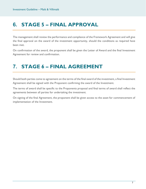# <span id="page-6-0"></span>**6. STAGE 5 – FINAL APPROVAL**

The management shall review the performance and compliance of the Framework Agreement and will give the final approval on the award of the investment opportunity, should the conditions as required have been met.

On confirmation of the award, the proponent shall be given the Letter of Award and the final Investment Agreement for review and confirmation.

# <span id="page-6-1"></span>**7. STAGE 6 – FINAL AGREEMENT**

Should both parties come to agreement on the terms of the final award of the investment, a final Investment Agreement shall be signed with the Proponent confirming the award of the Investment.

The terms of award shall be specific to the Proponents proposal and final terms of award shall reflect the agreements between all parties for undertaking the investment.

On signing of the final Agreement, the proponent shall be given access to the asset for commencement of implementation of the Investment.